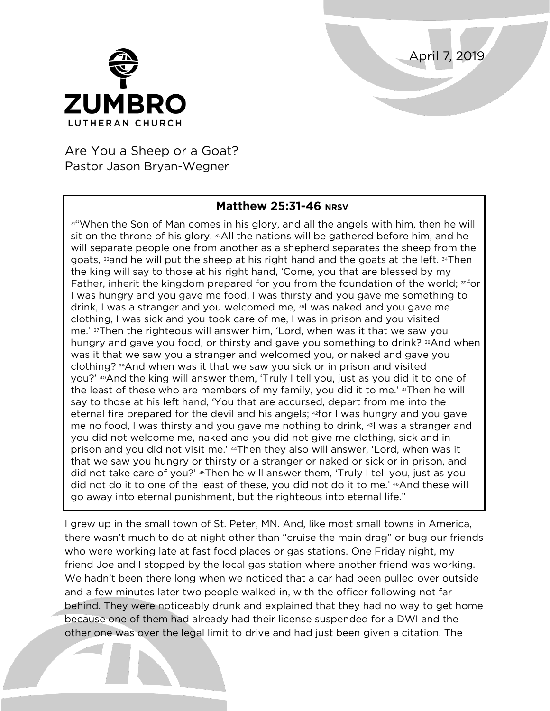

Are You a Sheep or a Goat? Pastor Jason Bryan-Wegner

## **Matthew 25:31-46 NRSV**

April 7, 2019

 $31$ "When the Son of Man comes in his glory, and all the angels with him, then he will sit on the throne of his glory.  $32$ All the nations will be gathered before him, and he will separate people one from another as a shepherd separates the sheep from the goats, 33and he will put the sheep at his right hand and the goats at the left. 34Then the king will say to those at his right hand, 'Come, you that are blessed by my Father, inherit the kingdom prepared for you from the foundation of the world; 35for I was hungry and you gave me food, I was thirsty and you gave me something to drink, I was a stranger and you welcomed me, 36I was naked and you gave me clothing, I was sick and you took care of me, I was in prison and you visited me.' 37Then the righteous will answer him, 'Lord, when was it that we saw you hungry and gave you food, or thirsty and gave you something to drink? 38And when was it that we saw you a stranger and welcomed you, or naked and gave you clothing? 39And when was it that we saw you sick or in prison and visited you?' 40And the king will answer them, 'Truly I tell you, just as you did it to one of the least of these who are members of my family, you did it to me.' <sup>41</sup>Then he will say to those at his left hand, 'You that are accursed, depart from me into the eternal fire prepared for the devil and his angels; 42for I was hungry and you gave me no food, I was thirsty and you gave me nothing to drink, 43I was a stranger and you did not welcome me, naked and you did not give me clothing, sick and in prison and you did not visit me.' 44Then they also will answer, 'Lord, when was it that we saw you hungry or thirsty or a stranger or naked or sick or in prison, and did not take care of you?' 45Then he will answer them, 'Truly I tell you, just as you did not do it to one of the least of these, you did not do it to me.' 46And these will go away into eternal punishment, but the righteous into eternal life."

I grew up in the small town of St. Peter, MN. And, like most small towns in America, there wasn't much to do at night other than "cruise the main drag" or bug our friends who were working late at fast food places or gas stations. One Friday night, my friend Joe and I stopped by the local gas station where another friend was working. We hadn't been there long when we noticed that a car had been pulled over outside and a few minutes later two people walked in, with the officer following not far behind. They were noticeably drunk and explained that they had no way to get home because one of them had already had their license suspended for a DWI and the other one was over the legal limit to drive and had just been given a citation. The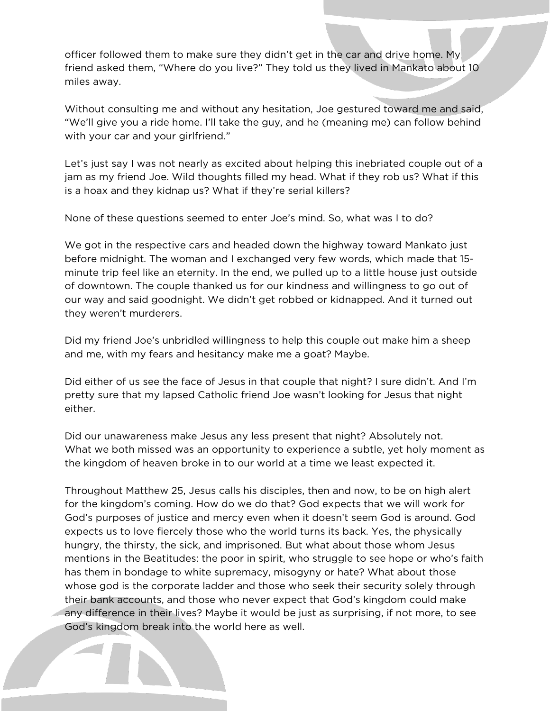officer followed them to make sure they didn't get in the car and drive home. My friend asked them, "Where do you live?" They told us they lived in Mankato about 10 miles away.

Without consulting me and without any hesitation, Joe gestured toward me and said, "We'll give you a ride home. I'll take the guy, and he (meaning me) can follow behind with your car and your girlfriend."

Let's just say I was not nearly as excited about helping this inebriated couple out of a jam as my friend Joe. Wild thoughts filled my head. What if they rob us? What if this is a hoax and they kidnap us? What if they're serial killers?

None of these questions seemed to enter Joe's mind. So, what was I to do?

We got in the respective cars and headed down the highway toward Mankato just before midnight. The woman and I exchanged very few words, which made that 15 minute trip feel like an eternity. In the end, we pulled up to a little house just outside of downtown. The couple thanked us for our kindness and willingness to go out of our way and said goodnight. We didn't get robbed or kidnapped. And it turned out they weren't murderers.

Did my friend Joe's unbridled willingness to help this couple out make him a sheep and me, with my fears and hesitancy make me a goat? Maybe.

Did either of us see the face of Jesus in that couple that night? I sure didn't. And I'm pretty sure that my lapsed Catholic friend Joe wasn't looking for Jesus that night either.

Did our unawareness make Jesus any less present that night? Absolutely not. What we both missed was an opportunity to experience a subtle, yet holy moment as the kingdom of heaven broke in to our world at a time we least expected it.

Throughout Matthew 25, Jesus calls his disciples, then and now, to be on high alert for the kingdom's coming. How do we do that? God expects that we will work for God's purposes of justice and mercy even when it doesn't seem God is around. God expects us to love fiercely those who the world turns its back. Yes, the physically hungry, the thirsty, the sick, and imprisoned. But what about those whom Jesus mentions in the Beatitudes: the poor in spirit, who struggle to see hope or who's faith has them in bondage to white supremacy, misogyny or hate? What about those whose god is the corporate ladder and those who seek their security solely through their bank accounts, and those who never expect that God's kingdom could make any difference in their lives? Maybe it would be just as surprising, if not more, to see God's kingdom break into the world here as well.